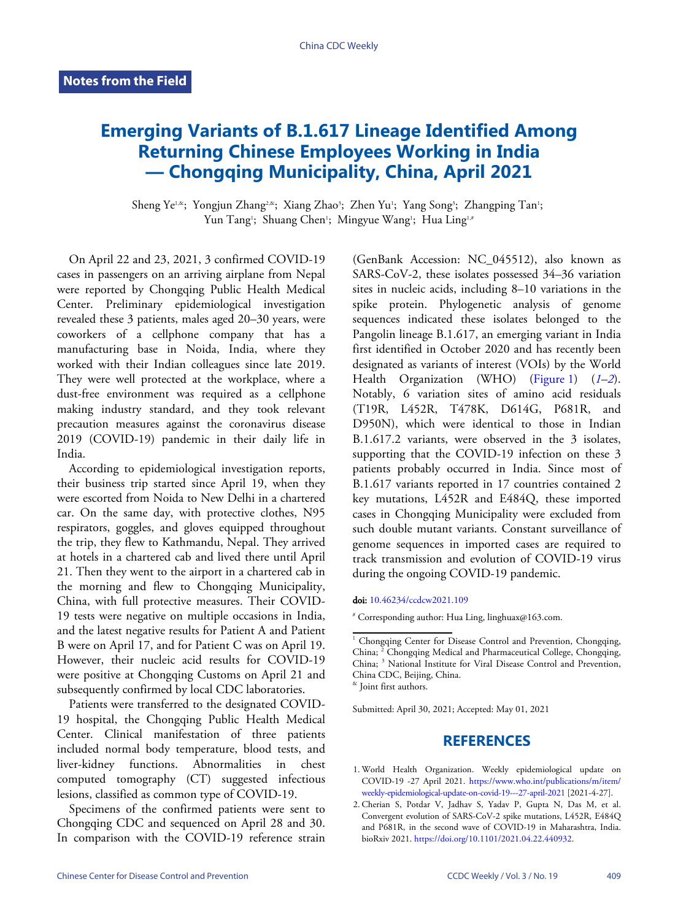## **Emerging Variants of B.1.617 Lineage Identified Among Returning Chinese Employees Working in India — Chongqing Municipality, China, April 2021**

Sheng Ye<sup>1,&</sup>; Yongjun Zhang<sup>2,&</sup>; Xiang Zhao<sup>3</sup>; Zhen Yu<sup>1</sup>; Yang Song<sup>3</sup>; Zhangping Tan<sup>1</sup>; Yun Tang<sup>1</sup>; Shuang Chen<sup>1</sup>; Mingyue Wang<sup>1</sup>; Hua Ling<sup>1,#</sup>

On April 22 and 23, 2021, 3 confirmed COVID-19 cases in passengers on an arriving airplane from Nepal were reported by Chongqing Public Health Medical Center. Preliminary epidemiological investigation revealed these 3 patients, males aged 20–30 years, were coworkers of a cellphone company that has a manufacturing base in Noida, India, where they worked with their Indian colleagues since late 2019. They were well protected at the workplace, where a dust-free environment was required as a cellphone making industry standard, and they took relevant precaution measures against the coronavirus disease 2019 (COVID-19) pandemic in their daily life in India.

According to epidemiological investigation reports, their business trip started since April 19, when they were escorted from Noida to New Delhi in a chartered car. On the same day, with protective clothes, N95 respirators, goggles, and gloves equipped throughout the trip, they flew to Kathmandu, Nepal. They arrived at hotels in a chartered cab and lived there until April 21. Then they went to the airport in a chartered cab in the morning and flew to Chongqing Municipality, China, with full protective measures. Their COVID-19 tests were negative on multiple occasions in India, and the latest negative results for Patient A and Patient B were on April 17, and for Patient C was on April 19. However, their nucleic acid results for COVID-19 were positive at Chongqing Customs on April 21 and subsequently confirmed by local CDC laboratories.

Patients were transferred to the designated COVID-19 hospital, the Chongqing Public Health Medical Center. Clinical manifestation of three patients included normal body temperature, blood tests, and liver-kidney functions. Abnormalities in chest computed tomography (CT) suggested infectious lesions, classified as common type of COVID-19.

Specimens of the confirmed patients were sent to Chongqing CDC and sequenced on April 28 and 30. In comparison with the COVID-19 reference strain

(GenBank Accession: NC\_045512), also known as SARS-CoV-2, these isolates possessed 34–36 variation sites in nucleic acids, including 8–10 variations in the spike protein. Phylogenetic analysis of genome sequences indicated these isolates belonged to the Pangolin lineage B.1.617, an emerging variant in India first identified in October 2020 and has recently been designated as variants of interest (VOIs) by the [W](#page-0-0)[orl](#page-0-1)d Health Organization (WHO) [\(Figure 1\)](#page-1-0) (*[1](#page-0-0)*–*[2](#page-0-1)*). Notably, 6 variation sites of amino acid res[id](#page-0-0)[ual](#page-0-1)s (T19R, L452R, T478K, D614G, P681R, and D950N), which were identical to those in Indian B.1.617.2 variants, were observed in the 3 isolates, supporting that the COVID-19 infection on these 3 patients probably occurred in India. Since most of B.1.617 variants reported in 17 countries contained 2 key mutations, L452R and E484Q, these imported cases in Chongqing Municipality were excluded from such double mutant variants. Constant surveillance of genome sequences in imported cases are required to track transmission and evolution of COVID-19 virus during the ongoing COVID-19 pandemic.

## doi: [10.46234/ccdcw2021.109](https://doi.org/10.46234/ccdcw2021.109)

# Corresponding author: Hua Ling, linghuax@163.com.

& Joint first authors.

Submitted: April 30, 2021; Accepted: May 01, 2021

## **REFERENCES**

- <span id="page-0-0"></span>World Health Organizatio[n. Weekly epidemiological update on](https://www.who.int/publications/m/item/weekly-epidemiological-update-on-covid-19---27-april-2021) 1. COVID-19 -27 April 2021. [https://www.who.int/publications/m/item/](https://www.who.int/publications/m/item/weekly-epidemiological-update-on-covid-19---27-april-2021) weekly-epidemiological-update-on-covid-19---27-april-2021 [2021-4-27].
- <span id="page-0-1"></span>2. Cherian S, Potdar V, Jadhav S, Yadav P, Gupta N, Das M, et al. Convergent evolution of SARS-CoV-2 spike mutations, L452R, E484Q and P681R, i[n the second wave of COVID-19 in Mahar](https://doi.org/10.1101/2021.04.22.440932)ashtra, India. bioRxiv 2021. [https://doi.org/10.1101/2021.04.22.440932.](https://doi.org/10.1101/2021.04.22.440932)

<sup>&</sup>lt;sup>1</sup> Chongqing Center for Disease Control and Prevention, Chongqing, China; <sup>2</sup> Chongqing Medical and Pharmaceutical College, Chongqing, China; <sup>3</sup> National Institute for Viral Disease Control and Prevention, China CDC, Beijing, China.